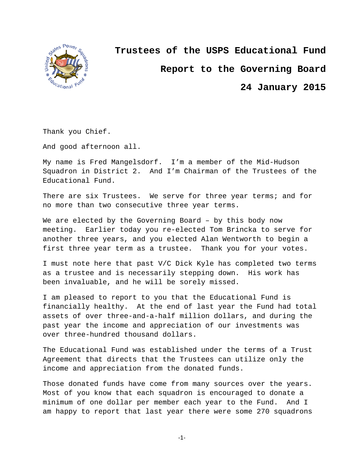

**Trustees of the USPS Educational Fund Report to the Governing Board**

**24 January 2015**

Thank you Chief.

And good afternoon all.

My name is Fred Mangelsdorf. I'm a member of the Mid-Hudson Squadron in District 2. And I'm Chairman of the Trustees of the Educational Fund.

There are six Trustees. We serve for three year terms; and for no more than two consecutive three year terms.

We are elected by the Governing Board – by this body now meeting. Earlier today you re-elected Tom Brincka to serve for another three years, and you elected Alan Wentworth to begin a first three year term as a trustee. Thank you for your votes.

I must note here that past V/C Dick Kyle has completed two terms as a trustee and is necessarily stepping down. His work has been invaluable, and he will be sorely missed.

I am pleased to report to you that the Educational Fund is financially healthy. At the end of last year the Fund had total assets of over three-and-a-half million dollars, and during the past year the income and appreciation of our investments was over three-hundred thousand dollars.

The Educational Fund was established under the terms of a Trust Agreement that directs that the Trustees can utilize only the income and appreciation from the donated funds.

Those donated funds have come from many sources over the years. Most of you know that each squadron is encouraged to donate a minimum of one dollar per member each year to the Fund. And I am happy to report that last year there were some 270 squadrons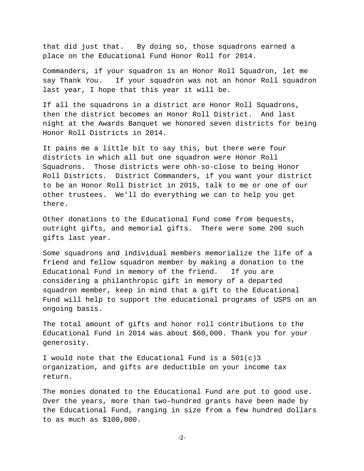that did just that. By doing so, those squadrons earned a place on the Educational Fund Honor Roll for 2014.

Commanders, if your squadron is an Honor Roll Squadron, let me say Thank You. If your squadron was not an honor Roll squadron last year, I hope that this year it will be.

If all the squadrons in a district are Honor Roll Squadrons, then the district becomes an Honor Roll District. And last night at the Awards Banquet we honored seven districts for being Honor Roll Districts in 2014.

It pains me a little bit to say this, but there were four districts in which all but one squadron were Honor Roll Squadrons. Those districts were ohh-so-close to being Honor Roll Districts. District Commanders, if you want your district to be an Honor Roll District in 2015, talk to me or one of our other trustees. We'll do everything we can to help you get there.

Other donations to the Educational Fund come from bequests, outright gifts, and memorial gifts. There were some 200 such gifts last year.

Some squadrons and individual members memorialize the life of a friend and fellow squadron member by making a donation to the Educational Fund in memory of the friend. If you are considering a philanthropic gift in memory of a departed squadron member, keep in mind that a gift to the Educational Fund will help to support the educational programs of USPS on an ongoing basis.

The total amount of gifts and honor roll contributions to the Educational Fund in 2014 was about \$60,000. Thank you for your generosity.

I would note that the Educational Fund is a  $501(c)3$ organization, and gifts are deductible on your income tax return.

The monies donated to the Educational Fund are put to good use. Over the years, more than two-hundred grants have been made by the Educational Fund, ranging in size from a few hundred dollars to as much as \$100,000.